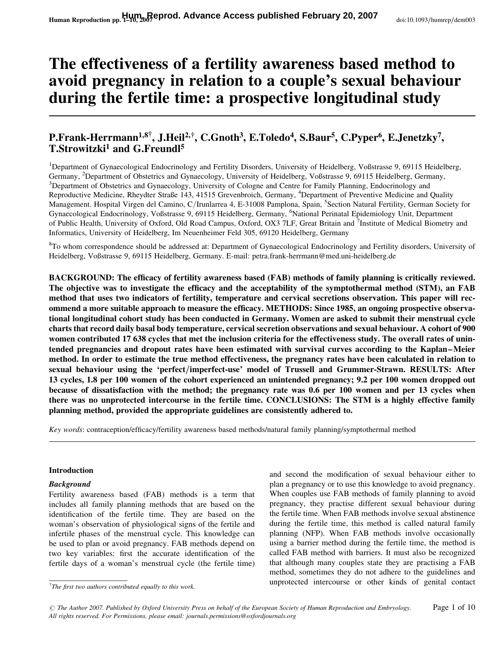# The effectiveness of a fertility awareness based method to avoid pregnancy in relation to a couple's sexual behaviour during the fertile time: a prospective longitudinal study

# P.Frank-Herrmann<sup>1,8†</sup>, J.Heil<sup>2,†</sup>, C.Gnoth<sup>3</sup>, E.Toledo<sup>4</sup>, S.Baur<sup>5</sup>, C.Pyper<sup>6</sup>, E.Jenetzky<sup>7</sup>, T.Strowitzki<sup>1</sup> and G.Freundl<sup>5</sup>

<sup>1</sup>Department of Gynaecological Endocrinology and Fertility Disorders, University of Heidelberg, Voßstrasse 9, 69115 Heidelberg, Germany, <sup>2</sup>Department of Obstetrics and Gynaecology, University of Heidelberg, Voßstrasse 9, 69115 Heidelberg, Germany, 3<br><sup>3</sup>Department of Obstetrics and Gynaecology, University of Cologne and Centre for Equily Planning, <sup>3</sup>Department of Obstetrics and Gynaecology, University of Cologne and Centre for Family Planning, Endocrinology and Reproductive Medicine, Rheydter Straße 143, 41515 Grevenbroich, Germany, <sup>4</sup>Department of Preventive Medicine and Quality Management. Hospital Virgen del Camino, C/Irunlarrea 4, E-31008 Pamplona, Spain, <sup>5</sup>Section Natural Fertility, German Society for Gynaecological Endocrinology, Voßstrasse 9, 69115 Heidelberg, Germany, <sup>6</sup>National Perinatal Epidemiology Unit, Department of Public Health, University of Oxford, Old Road Campus, Oxford, OX3 7LF, Great Britain and <sup>7</sup>Institute of Medical Biometry and Informatics, University of Heidelberg, Im Neuenheimer Feld 305, 69120 Heidelberg, Germany

<sup>8</sup>To whom correspondence should be addressed at: Department of Gynaecological Endocrinology and Fertility disorders, University of Heidelberg, Voßstrasse 9, 69115 Heidelberg, Germany. E-mail: petra.frank-herrmann@med.uni-heidelberg.de

BACKGROUND: The efficacy of fertility awareness based (FAB) methods of family planning is critically reviewed. The objective was to investigate the efficacy and the acceptability of the symptothermal method (STM), an FAB method that uses two indicators of fertility, temperature and cervical secretions observation. This paper will recommend a more suitable approach to measure the efficacy. METHODS: Since 1985, an ongoing prospective observational longitudinal cohort study has been conducted in Germany. Women are asked to submit their menstrual cycle charts that record daily basal body temperature, cervical secretion observations and sexual behaviour. A cohort of 900 women contributed 17 638 cycles that met the inclusion criteria for the effectiveness study. The overall rates of unintended pregnancies and dropout rates have been estimated with survival curves according to the Kaplan–Meier method. In order to estimate the true method effectiveness, the pregnancy rates have been calculated in relation to sexual behaviour using the 'perfect/imperfect-use' model of Trussell and Grummer-Strawn. RESULTS: After 13 cycles, 1.8 per 100 women of the cohort experienced an unintended pregnancy; 9.2 per 100 women dropped out because of dissatisfaction with the method; the pregnancy rate was 0.6 per 100 women and per 13 cycles when there was no unprotected intercourse in the fertile time. CONCLUSIONS: The STM is a highly effective family planning method, provided the appropriate guidelines are consistently adhered to.

Key words: contraception/efficacy/fertility awareness based methods/natural family planning/symptothermal method

# Introduction

# Background

Fertility awareness based (FAB) methods is a term that includes all family planning methods that are based on the identification of the fertile time. They are based on the woman's observation of physiological signs of the fertile and infertile phases of the menstrual cycle. This knowledge can be used to plan or avoid pregnancy. FAB methods depend on two key variables: first the accurate identification of the fertile days of a woman's menstrual cycle (the fertile time)

and second the modification of sexual behaviour either to plan a pregnancy or to use this knowledge to avoid pregnancy. When couples use FAB methods of family planning to avoid pregnancy, they practise different sexual behaviour during the fertile time. When FAB methods involve sexual abstinence during the fertile time, this method is called natural family planning (NFP). When FAB methods involve occasionally using a barrier method during the fertile time, the method is called FAB method with barriers. It must also be recognized that although many couples state they are practising a FAB method, sometimes they do not adhere to the guidelines and  $\frac{1}{100}$  intercourse or other kinds of genital contact unprotected intercourse or other kinds of genital contact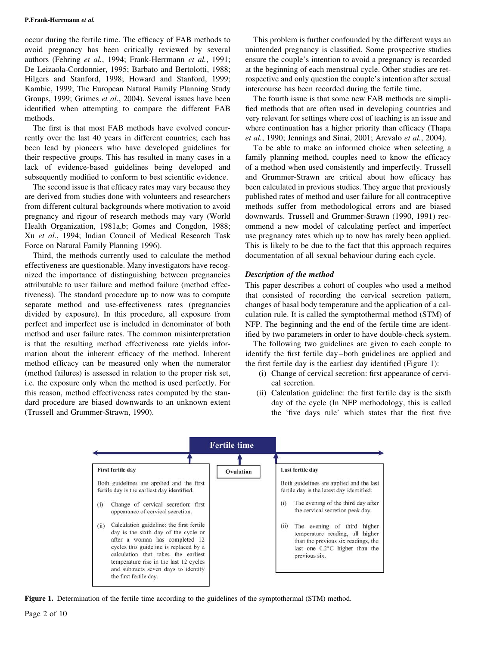occur during the fertile time. The efficacy of FAB methods to avoid pregnancy has been critically reviewed by several authors (Fehring et al., 1994; Frank-Herrmann et al., 1991; De Leizaola-Cordonnier, 1995; Barbato and Bertolotti, 1988; Hilgers and Stanford, 1998; Howard and Stanford, 1999; Kambic, 1999; The European Natural Family Planning Study Groups, 1999; Grimes et al., 2004). Several issues have been identified when attempting to compare the different FAB methods.

The first is that most FAB methods have evolved concurrently over the last 40 years in different countries; each has been lead by pioneers who have developed guidelines for their respective groups. This has resulted in many cases in a lack of evidence-based guidelines being developed and subsequently modified to conform to best scientific evidence.

The second issue is that efficacy rates may vary because they are derived from studies done with volunteers and researchers from different cultural backgrounds where motivation to avoid pregnancy and rigour of research methods may vary (World Health Organization, 1981a,b; Gomes and Congdon, 1988; Xu et al., 1994; Indian Council of Medical Research Task Force on Natural Family Planning 1996).

Third, the methods currently used to calculate the method effectiveness are questionable. Many investigators have recognized the importance of distinguishing between pregnancies attributable to user failure and method failure (method effectiveness). The standard procedure up to now was to compute separate method and use-effectiveness rates (pregnancies divided by exposure). In this procedure, all exposure from perfect and imperfect use is included in denominator of both method and user failure rates. The common misinterpretation is that the resulting method effectiveness rate yields information about the inherent efficacy of the method. Inherent method efficacy can be measured only when the numerator (method failures) is assessed in relation to the proper risk set, i.e. the exposure only when the method is used perfectly. For this reason, method effectiveness rates computed by the standard procedure are biased downwards to an unknown extent (Trussell and Grummer-Strawn, 1990).

This problem is further confounded by the different ways an unintended pregnancy is classified. Some prospective studies ensure the couple's intention to avoid a pregnancy is recorded at the beginning of each menstrual cycle. Other studies are retrospective and only question the couple's intention after sexual intercourse has been recorded during the fertile time.

The fourth issue is that some new FAB methods are simplified methods that are often used in developing countries and very relevant for settings where cost of teaching is an issue and where continuation has a higher priority than efficacy (Thapa et al., 1990; Jennings and Sinai, 2001; Arevalo et al., 2004).

To be able to make an informed choice when selecting a family planning method, couples need to know the efficacy of a method when used consistently and imperfectly. Trussell and Grummer-Strawn are critical about how efficacy has been calculated in previous studies. They argue that previously published rates of method and user failure for all contraceptive methods suffer from methodological errors and are biased downwards. Trussell and Grummer-Strawn (1990, 1991) recommend a new model of calculating perfect and imperfect use pregnancy rates which up to now has rarely been applied. This is likely to be due to the fact that this approach requires documentation of all sexual behaviour during each cycle.

# Description of the method

This paper describes a cohort of couples who used a method that consisted of recording the cervical secretion pattern, changes of basal body temperature and the application of a calculation rule. It is called the symptothermal method (STM) of NFP. The beginning and the end of the fertile time are identified by two parameters in order to have double-check system.

The following two guidelines are given to each couple to identify the first fertile day–both guidelines are applied and the first fertile day is the earliest day identified (Figure 1):

- (i) Change of cervical secretion: first appearance of cervical secretion.
- (ii) Calculation guideline: the first fertile day is the sixth day of the cycle (In NFP methodology, this is called the 'five days rule' which states that the first five



Figure 1. Determination of the fertile time according to the guidelines of the symptothermal (STM) method.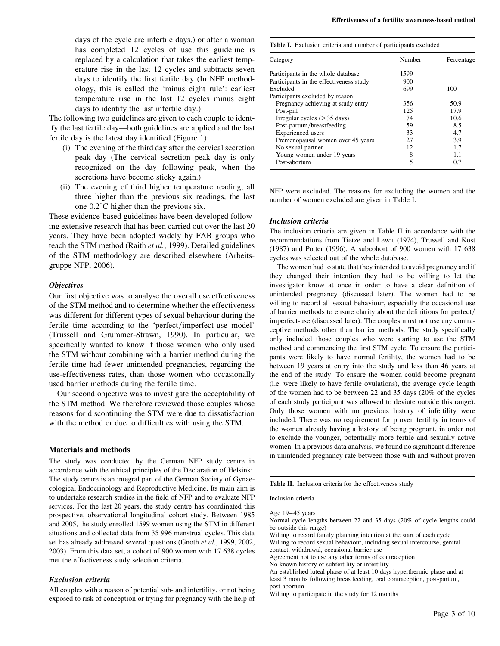days of the cycle are infertile days.) or after a woman has completed 12 cycles of use this guideline is replaced by a calculation that takes the earliest temperature rise in the last 12 cycles and subtracts seven days to identify the first fertile day (In NFP methodology, this is called the 'minus eight rule': earliest temperature rise in the last 12 cycles minus eight days to identify the last infertile day.)

The following two guidelines are given to each couple to identify the last fertile day—both guidelines are applied and the last fertile day is the latest day identified (Figure 1):

- (i) The evening of the third day after the cervical secretion peak day (The cervical secretion peak day is only recognized on the day following peak, when the secretions have become sticky again.)
- (ii) The evening of third higher temperature reading, all three higher than the previous six readings, the last one  $0.2^{\circ}$ C higher than the previous six.

These evidence-based guidelines have been developed following extensive research that has been carried out over the last 20 years. They have been adopted widely by FAB groups who teach the STM method (Raith et al., 1999). Detailed guidelines of the STM methodology are described elsewhere (Arbeitsgruppe NFP, 2006).

# **Objectives**

Our first objective was to analyse the overall use effectiveness of the STM method and to determine whether the effectiveness was different for different types of sexual behaviour during the fertile time according to the 'perfect/imperfect-use model' (Trussell and Grummer-Strawn, 1990). In particular, we specifically wanted to know if those women who only used the STM without combining with a barrier method during the fertile time had fewer unintended pregnancies, regarding the use-effectiveness rates, than those women who occasionally used barrier methods during the fertile time.

Our second objective was to investigate the acceptability of the STM method. We therefore reviewed those couples whose reasons for discontinuing the STM were due to dissatisfaction with the method or due to difficulties with using the STM.

#### Materials and methods

The study was conducted by the German NFP study centre in accordance with the ethical principles of the Declaration of Helsinki. The study centre is an integral part of the German Society of Gynaecological Endocrinology and Reproductive Medicine. Its main aim is to undertake research studies in the field of NFP and to evaluate NFP services. For the last 20 years, the study centre has coordinated this prospective, observational longitudinal cohort study. Between 1985 and 2005, the study enrolled 1599 women using the STM in different situations and collected data from 35 996 menstrual cycles. This data set has already addressed several questions (Gnoth et al., 1999, 2002, 2003). From this data set, a cohort of 900 women with 17 638 cycles met the effectiveness study selection criteria.

# Exclusion criteria

All couples with a reason of potential sub- and infertility, or not being exposed to risk of conception or trying for pregnancy with the help of Table I. Exclusion criteria and number of participants excluded

| Category                                | Number | Percentage |
|-----------------------------------------|--------|------------|
| Participants in the whole database      | 1599   |            |
| Participants in the effectiveness study | 900    |            |
| Excluded                                | 699    | 100        |
| Participants excluded by reason         |        |            |
| Pregnancy achieving at study entry      | 356    | 50.9       |
| Post-pill                               | 125    | 17.9       |
| Irregular cycles $($ >35 days)          | 74     | 10.6       |
| Post-partum/breastfeeding               | 59     | 8.5        |
| <b>Experienced</b> users                | 33     | 4.7        |
| Premenopausal women over 45 years       | 27     | 3.9        |
| No sexual partner                       | 12     | 1.7        |
| Young women under 19 years              | 8      | 1.1        |
| Post-abortum                            | 5      | 0.7        |

NFP were excluded. The reasons for excluding the women and the number of women excluded are given in Table I.

#### Inclusion criteria

The inclusion criteria are given in Table II in accordance with the recommendations from Tietze and Lewit (1974), Trussell and Kost (1987) and Potter (1996). A subcohort of 900 women with 17 638 cycles was selected out of the whole database.

The women had to state that they intended to avoid pregnancy and if they changed their intention they had to be willing to let the investigator know at once in order to have a clear definition of unintended pregnancy (discussed later). The women had to be willing to record all sexual behaviour, especially the occasional use of barrier methods to ensure clarity about the definitions for perfect/ imperfect-use (discussed later). The couples must not use any contraceptive methods other than barrier methods. The study specifically only included those couples who were starting to use the STM method and commencing the first STM cycle. To ensure the participants were likely to have normal fertility, the women had to be between 19 years at entry into the study and less than 46 years at the end of the study. To ensure the women could become pregnant (i.e. were likely to have fertile ovulations), the average cycle length of the women had to be between 22 and 35 days (20% of the cycles of each study participant was allowed to deviate outside this range). Only those women with no previous history of infertility were included. There was no requirement for proven fertility in terms of the women already having a history of being pregnant, in order not to exclude the younger, potentially more fertile and sexually active women. In a previous data analysis, we found no significant difference in unintended pregnancy rate between those with and without proven

Table II. Inclusion criteria for the effectiveness study

| Inclusion criteria |  |
|--------------------|--|
|                    |  |
|                    |  |

Age 19–45 years

Normal cycle lengths between 22 and 35 days (20% of cycle lengths could be outside this range) Willing to record family planning intention at the start of each cycle

Willing to record sexual behaviour, including sexual intercourse, genital

contact, withdrawal, occasional barrier use

Agreement not to use any other forms of contraception

No known history of subfertility or infertility

An established luteal phase of at least 10 days hyperthermic phase and at least 3 months following breastfeeding, oral contraception, post-partum, post-abortum

Willing to participate in the study for 12 months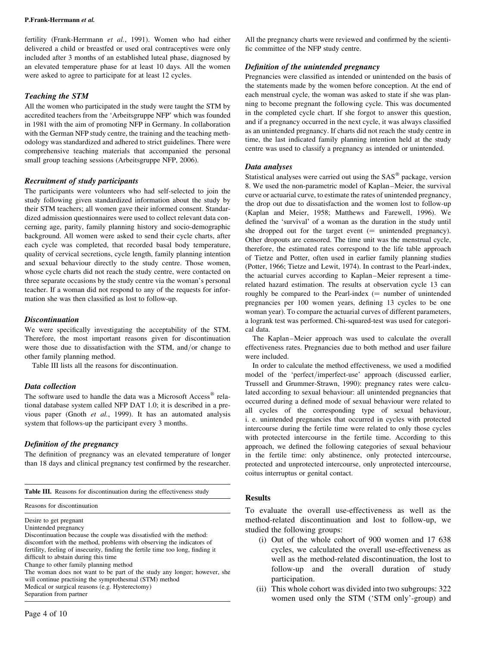#### P.Frank-Herrmann et al.

fertility (Frank-Herrmann et al., 1991). Women who had either delivered a child or breastfed or used oral contraceptives were only included after 3 months of an established luteal phase, diagnosed by an elevated temperature phase for at least 10 days. All the women were asked to agree to participate for at least 12 cycles.

# Teaching the STM

All the women who participated in the study were taught the STM by accredited teachers from the 'Arbeitsgruppe NFP' which was founded in 1981 with the aim of promoting NFP in Germany. In collaboration with the German NFP study centre, the training and the teaching methodology was standardized and adhered to strict guidelines. There were comprehensive teaching materials that accompanied the personal small group teaching sessions (Arbeitsgruppe NFP, 2006).

#### Recruitment of study participants

The participants were volunteers who had self-selected to join the study following given standardized information about the study by their STM teachers; all women gave their informed consent. Standardized admission questionnaires were used to collect relevant data concerning age, parity, family planning history and socio-demographic background. All women were asked to send their cycle charts, after each cycle was completed, that recorded basal body temperature, quality of cervical secretions, cycle length, family planning intention and sexual behaviour directly to the study centre. Those women, whose cycle charts did not reach the study centre, were contacted on three separate occasions by the study centre via the woman's personal teacher. If a woman did not respond to any of the requests for information she was then classified as lost to follow-up.

# **Discontinuation**

We were specifically investigating the acceptability of the STM. Therefore, the most important reasons given for discontinuation were those due to dissatisfaction with the STM, and/or change to other family planning method.

Table III lists all the reasons for discontinuation.

## Data collection

The software used to handle the data was a Microsoft Access<sup>®</sup> relational database system called NFP DAT 1.0; it is described in a previous paper (Gnoth et al., 1999). It has an automated analysis system that follows-up the participant every 3 months.

#### Definition of the pregnancy

The definition of pregnancy was an elevated temperature of longer than 18 days and clinical pregnancy test confirmed by the researcher.

Table III. Reasons for discontinuation during the effectiveness study

Reasons for discontinuation

Unintended pregnancy

Change to other family planning method

All the pregnancy charts were reviewed and confirmed by the scientific committee of the NFP study centre.

# Definition of the unintended pregnancy

Pregnancies were classified as intended or unintended on the basis of the statements made by the women before conception. At the end of each menstrual cycle, the woman was asked to state if she was planning to become pregnant the following cycle. This was documented in the completed cycle chart. If she forgot to answer this question, and if a pregnancy occurred in the next cycle, it was always classified as an unintended pregnancy. If charts did not reach the study centre in time, the last indicated family planning intention held at the study centre was used to classify a pregnancy as intended or unintended.

#### Data analyses

Statistical analyses were carried out using the  $SAS^{\circledast}$  package, version 8. We used the non-parametric model of Kaplan–Meier, the survival curve or actuarial curve, to estimate the rates of unintended pregnancy, the drop out due to dissatisfaction and the women lost to follow-up (Kaplan and Meier, 1958; Matthews and Farewell, 1996). We defined the 'survival' of a woman as the duration in the study until she dropped out for the target event  $($  = unintended pregnancy). Other dropouts are censored. The time unit was the menstrual cycle, therefore, the estimated rates correspond to the life table approach of Tietze and Potter, often used in earlier family planning studies (Potter, 1966; Tietze and Lewit, 1974). In contrast to the Pearl-index, the actuarial curves according to Kaplan–Meier represent a timerelated hazard estimation. The results at observation cycle 13 can roughly be compared to the Pearl-index  $(=$  number of unintended pregnancies per 100 women years, defining 13 cycles to be one woman year). To compare the actuarial curves of different parameters, a logrank test was performed. Chi-squared-test was used for categorical data.

The Kaplan–Meier approach was used to calculate the overall effectiveness rates. Pregnancies due to both method and user failure were included.

In order to calculate the method effectiveness, we used a modified model of the 'perfect/imperfect-use' approach (discussed earlier, Trussell and Grummer-Strawn, 1990): pregnancy rates were calculated according to sexual behaviour: all unintended pregnancies that occurred during a defined mode of sexual behaviour were related to all cycles of the corresponding type of sexual behaviour, i. e. unintended pregnancies that occurred in cycles with protected intercourse during the fertile time were related to only those cycles with protected intercourse in the fertile time. According to this approach, we defined the following categories of sexual behaviour in the fertile time: only abstinence, only protected intercourse, protected and unprotected intercourse, only unprotected intercourse, coitus interruptus or genital contact.

# Results

To evaluate the overall use-effectiveness as well as the method-related discontinuation and lost to follow-up, we studied the following groups:

- (i) Out of the whole cohort of 900 women and 17 638 cycles, we calculated the overall use-effectiveness as well as the method-related discontinuation, the lost to follow-up and the overall duration of study participation.
- (ii) This whole cohort was divided into two subgroups: 322 women used only the STM ('STM only'-group) and

Desire to get pregnant

Discontinuation because the couple was dissatisfied with the method: discomfort with the method, problems with observing the indicators of fertility, feeling of insecurity, finding the fertile time too long, finding it difficult to abstain during this time

The woman does not want to be part of the study any longer; however, she will continue practising the symptothesmal (STM) method Medical or surgical reasons (e.g. Hysterectomy) Separation from partner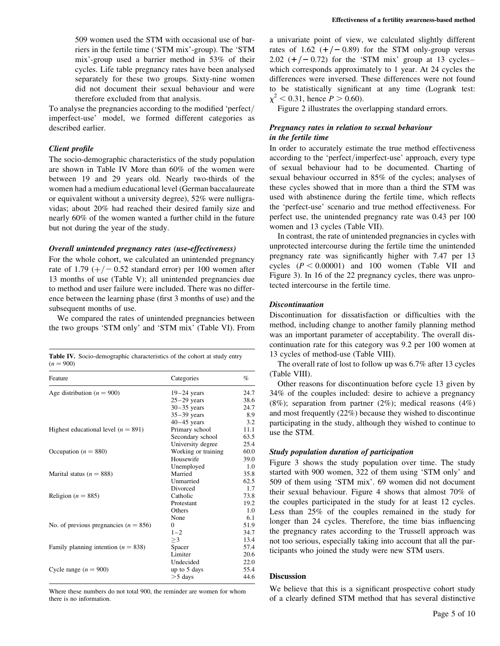509 women used the STM with occasional use of barriers in the fertile time ('STM mix'-group). The 'STM mix'-group used a barrier method in 53% of their cycles. Life table pregnancy rates have been analysed separately for these two groups. Sixty-nine women did not document their sexual behaviour and were therefore excluded from that analysis.

To analyse the pregnancies according to the modified 'perfect/ imperfect-use' model, we formed different categories as described earlier.

# Client profile

The socio-demographic characteristics of the study population are shown in Table IV More than 60% of the women were between 19 and 29 years old. Nearly two-thirds of the women had a medium educational level (German baccalaureate or equivalent without a university degree), 52% were nulligravidas; about 20% had reached their desired family size and nearly 60% of the women wanted a further child in the future but not during the year of the study.

### Overall unintended pregnancy rates (use-effectiveness)

For the whole cohort, we calculated an unintended pregnancy rate of 1.79  $(+/- 0.52$  standard error) per 100 women after 13 months of use (Table V); all unintended pregnancies due to method and user failure were included. There was no difference between the learning phase (first 3 months of use) and the subsequent months of use.

We compared the rates of unintended pregnancies between the two groups 'STM only' and 'STM mix' (Table VI). From

|             | <b>Table IV.</b> Socio-demographic characteristics of the cohort at study entry |  |  |  |
|-------------|---------------------------------------------------------------------------------|--|--|--|
| $(n = 900)$ |                                                                                 |  |  |  |

| Feature                                   | Categories          | $\%$ |
|-------------------------------------------|---------------------|------|
| Age distribution ( $n = 900$ )            | $19-24$ years       | 24.7 |
|                                           | $25-29$ years       | 38.6 |
|                                           | $30-35$ years       | 24.7 |
|                                           | $35-39$ years       | 8.9  |
|                                           | $40-45$ years       | 3.2  |
| Highest educational level ( $n = 891$ )   | Primary school      | 11.1 |
|                                           | Secondary school    | 63.5 |
|                                           | University degree   | 25.4 |
| Occupation ( $n = 880$ )                  | Working or training | 60.0 |
|                                           | Housewife           | 39.0 |
|                                           | Unemployed          | 1.0  |
| Marital status ( $n = 888$ )              | Married             | 35.8 |
|                                           | Unmarried           | 62.5 |
|                                           | Divorced            | 1.7  |
| Religion ( $n = 885$ )                    | Catholic            | 73.8 |
|                                           | Protestant          | 19.2 |
|                                           | Others              | 1.0  |
|                                           | None                | 6.1  |
| No. of previous pregnancies ( $n = 856$ ) | $\Omega$            | 51.9 |
|                                           | $1 - 2$             | 34.7 |
|                                           | >3                  | 13.4 |
| Family planning intention $(n = 838)$     | Spacer              | 57.4 |
|                                           | Limiter             | 20.6 |
|                                           | Undecided           | 22.0 |
| Cycle range $(n = 900)$                   | up to 5 days        | 55.4 |
|                                           | $>5$ days           | 44.6 |

Where these numbers do not total 900, the reminder are women for whom there is no information.

a univariate point of view, we calculated slightly different rates of 1.62  $(+/- 0.89)$  for the STM only-group versus 2.02  $(+/- 0.72)$  for the 'STM mix' group at 13 cycles– which corresponds approximately to 1 year. At 24 cycles the differences were inversed. These differences were not found to be statistically significant at any time (Logrank test:  $\chi^2$  < 0.31, hence *P* > 0.60).

Figure 2 illustrates the overlapping standard errors.

# Pregnancy rates in relation to sexual behaviour in the fertile time

In order to accurately estimate the true method effectiveness according to the 'perfect/imperfect-use' approach, every type of sexual behaviour had to be documented. Charting of sexual behaviour occurred in 85% of the cycles; analyses of these cycles showed that in more than a third the STM was used with abstinence during the fertile time, which reflects the 'perfect-use' scenario and true method effectiveness. For perfect use, the unintended pregnancy rate was 0.43 per 100 women and 13 cycles (Table VII).

In contrast, the rate of unintended pregnancies in cycles with unprotected intercourse during the fertile time the unintended pregnancy rate was significantly higher with 7.47 per 13 cycles  $(P < 0.00001)$  and 100 women (Table VII and Figure 3). In 16 of the 22 pregnancy cycles, there was unprotected intercourse in the fertile time.

#### **Discontinuation**

Discontinuation for dissatisfaction or difficulties with the method, including change to another family planning method was an important parameter of acceptability. The overall discontinuation rate for this category was 9.2 per 100 women at 13 cycles of method-use (Table VIII).

The overall rate of lost to follow up was 6.7% after 13 cycles (Table VIII).

Other reasons for discontinuation before cycle 13 given by 34% of the couples included: desire to achieve a pregnancy (8%); separation from partner (2%); medical reasons (4%) and most frequently (22%) because they wished to discontinue participating in the study, although they wished to continue to use the STM.

#### Study population duration of participation

Figure 3 shows the study population over time. The study started with 900 women, 322 of them using 'STM only' and 509 of them using 'STM mix'. 69 women did not document their sexual behaviour. Figure 4 shows that almost 70% of the couples participated in the study for at least 12 cycles. Less than 25% of the couples remained in the study for longer than 24 cycles. Therefore, the time bias influencing the pregnancy rates according to the Trussell approach was not too serious, especially taking into account that all the participants who joined the study were new STM users.

# Discussion

We believe that this is a significant prospective cohort study of a clearly defined STM method that has several distinctive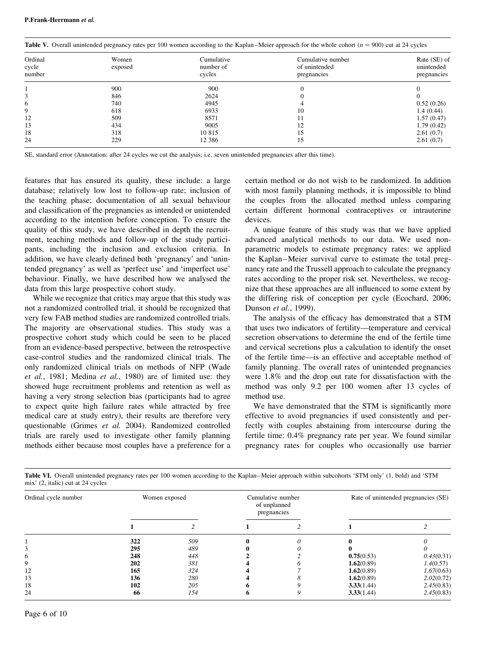| Table V. Overall unintended pregnancy rates per 100 women according to the Kaplan–Meier approach for the whole cohort $(n = 900)$ cut at 24 cycles |
|----------------------------------------------------------------------------------------------------------------------------------------------------|
|----------------------------------------------------------------------------------------------------------------------------------------------------|

| Ordinal<br>cycle<br>number | Women<br>exposed | Cumulative<br>number of<br>cycles | Cumulative number<br>of unintended<br>pregnancies | Rate (SE) of<br>unintended<br>pregnancies |
|----------------------------|------------------|-----------------------------------|---------------------------------------------------|-------------------------------------------|
|                            | 900              | 900                               |                                                   |                                           |
| 3                          | 846              | 2624                              |                                                   |                                           |
| 6                          | 740              | 4945                              |                                                   | 0.52(0.26)                                |
| 9                          | 618              | 6933                              | 10                                                | 1.4(0.44)                                 |
| 12                         | 509              | 8571                              | 11                                                | 1.57(0.47)                                |
| 13                         | 434              | 9005                              | 12                                                | 1.79(0.42)                                |
| 18                         | 318              | 10 815                            | 15                                                | 2.61(0.7)                                 |
| 24                         | 229              | 12 3 8 6                          | 15                                                | 2.61(0.7)                                 |

SE, standard error (Annotation: after 24 cycles we cut the analysis; i.e. seven unintended pregnancies after this time).

features that has ensured its quality, these include: a large database; relatively low lost to follow-up rate; inclusion of the teaching phase; documentation of all sexual behaviour and classification of the pregnancies as intended or unintended according to the intention before conception. To ensure the quality of this study, we have described in depth the recruitment, teaching methods and follow-up of the study participants, including the inclusion and exclusion criteria. In addition, we have clearly defined both 'pregnancy' and 'unintended pregnancy' as well as 'perfect use' and 'imperfect use' behaviour. Finally, we have described how we analysed the data from this large prospective cohort study.

While we recognize that critics may argue that this study was not a randomized controlled trial, it should be recognized that very few FAB method studies are randomized controlled trials. The majority are observational studies. This study was a prospective cohort study which could be seen to be placed from an evidence-based perspective, between the retrospective case-control studies and the randomized clinical trials. The only randomized clinical trials on methods of NFP (Wade et al., 1981; Medina et al., 1980) are of limited use: they showed huge recruitment problems and retention as well as having a very strong selection bias (participants had to agree to expect quite high failure rates while attracted by free medical care at study entry), their results are therefore very questionable (Grimes et al. 2004). Randomized controlled trials are rarely used to investigate other family planning methods either because most couples have a preference for a certain method or do not wish to be randomized. In addition with most family planning methods, it is impossible to blind the couples from the allocated method unless comparing certain different hormonal contraceptives or intrauterine devices.

A unique feature of this study was that we have applied advanced analytical methods to our data. We used nonparametric models to estimate pregnancy rates: we applied the Kaplan–Meier survival curve to estimate the total pregnancy rate and the Trussell approach to calculate the pregnancy rates according to the proper risk set. Nevertheless, we recognize that these approaches are all influenced to some extent by the differing risk of conception per cycle (Ecochard, 2006; Dunson et al., 1999).

The analysis of the efficacy has demonstrated that a STM that uses two indicators of fertility—temperature and cervical secretion observations to determine the end of the fertile time and cervical secretions plus a calculation to identify the onset of the fertile time—is an effective and acceptable method of family planning. The overall rates of unintended pregnancies were 1.8% and the drop out rate for dissatisfaction with the method was only 9.2 per 100 women after 13 cycles of method use.

We have demonstrated that the STM is significantly more effective to avoid pregnancies if used consistently and perfectly with couples abstaining from intercourse during the fertile time: 0.4% pregnancy rate per year. We found similar pregnancy rates for couples who occasionally use barrier

| Table VI. Overall unintended pregnancy rates per 100 women according to the Kaplan–Meier approach within subcohorts 'STM only' (1, bold) and 'STM |  |  |
|---------------------------------------------------------------------------------------------------------------------------------------------------|--|--|
| mix' (2, italic) cut at 24 cycles                                                                                                                 |  |  |

| Ordinal cycle number | Women exposed |     | Cumulative number<br>of unplanned<br>pregnancies |    | Rate of unintended pregnancies (SE) |            |
|----------------------|---------------|-----|--------------------------------------------------|----|-------------------------------------|------------|
|                      |               |     |                                                  |    |                                     |            |
|                      | 322           | 509 |                                                  |    |                                     |            |
|                      | 295           | 489 |                                                  |    |                                     |            |
| 6                    | 248           | 448 |                                                  |    | 0.75(0.53)                          | 0.43(0.31) |
| 9                    | 202           | 381 |                                                  |    | 1.62(0.89)                          | 1.4(0.57)  |
| 12                   | 165           | 324 |                                                  |    | 1.62(0.89)                          | 1.67(0.63) |
| 13                   | 136           | 280 |                                                  |    | 1.62(0.89)                          | 2.02(0.72) |
| 18                   | 102           | 205 |                                                  |    | 3.33(1.44)                          | 2.45(0.83) |
| 24                   | 66            | 154 |                                                  | Q. | 3.33(1.44)                          | 2.45(0.83) |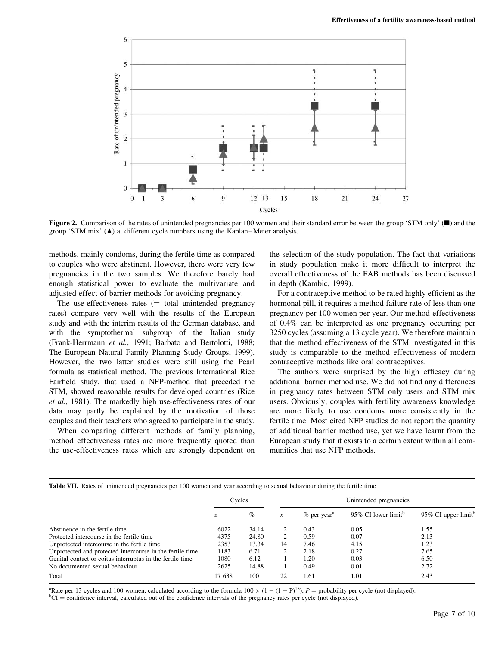

Figure 2. Comparison of the rates of unintended pregnancies per 100 women and their standard error between the group 'STM only' ( $\blacksquare$ ) and the group 'STM mix'  $(\triangle)$  at different cycle numbers using the Kaplan–Meier analysis.

methods, mainly condoms, during the fertile time as compared to couples who were abstinent. However, there were very few pregnancies in the two samples. We therefore barely had enough statistical power to evaluate the multivariate and adjusted effect of barrier methods for avoiding pregnancy.

The use-effectiveness rates  $(=$  total unintended pregnancy rates) compare very well with the results of the European study and with the interim results of the German database, and with the symptothermal subgroup of the Italian study (Frank-Herrmann et al., 1991; Barbato and Bertolotti, 1988; The European Natural Family Planning Study Groups, 1999). However, the two latter studies were still using the Pearl formula as statistical method. The previous International Rice Fairfield study, that used a NFP-method that preceded the STM, showed reasonable results for developed countries (Rice et al., 1981). The markedly high use-effectiveness rates of our data may partly be explained by the motivation of those couples and their teachers who agreed to participate in the study.

When comparing different methods of family planning, method effectiveness rates are more frequently quoted than the use-effectiveness rates which are strongly dependent on the selection of the study population. The fact that variations in study population make it more difficult to interpret the overall effectiveness of the FAB methods has been discussed in depth (Kambic, 1999).

For a contraceptive method to be rated highly efficient as the hormonal pill, it requires a method failure rate of less than one pregnancy per 100 women per year. Our method-effectiveness of 0.4% can be interpreted as one pregnancy occurring per 3250 cycles (assuming a 13 cycle year). We therefore maintain that the method effectiveness of the STM investigated in this study is comparable to the method effectiveness of modern contraceptive methods like oral contraceptives.

The authors were surprised by the high efficacy during additional barrier method use. We did not find any differences in pregnancy rates between STM only users and STM mix users. Obviously, couples with fertility awareness knowledge are more likely to use condoms more consistently in the fertile time. Most cited NFP studies do not report the quantity of additional barrier method use, yet we have learnt from the European study that it exists to a certain extent within all communities that use NFP methods.

|  |  |  |  | Table VII. Rates of unintended pregnancies per 100 women and year according to sexual behaviour during the fertile time |  |
|--|--|--|--|-------------------------------------------------------------------------------------------------------------------------|--|
|  |  |  |  |                                                                                                                         |  |

|                                                           | Cycles |       |                  | Unintended pregnancies    |                                 |                                 |
|-----------------------------------------------------------|--------|-------|------------------|---------------------------|---------------------------------|---------------------------------|
|                                                           | n      | $\%$  | $\boldsymbol{n}$ | $%$ per year <sup>a</sup> | 95% CI lower limit <sup>b</sup> | 95% CI upper limit <sup>b</sup> |
| Abstinence in the fertile time                            | 6022   | 34.14 |                  | 0.43                      | 0.05                            | 1.55                            |
| Protected intercourse in the fertile time                 | 4375   | 24.80 |                  | 0.59                      | 0.07                            | 2.13                            |
| Unprotected intercourse in the fertile time               | 2353   | 13.34 | 14               | 7.46                      | 4.15                            | 1.23                            |
| Unprotected and protected intercourse in the fertile time | 1183   | 6.71  |                  | 2.18                      | 0.27                            | 7.65                            |
| Genital contact or coitus interruptus in the fertile time | 1080   | 6.12  |                  | 1.20                      | 0.03                            | 6.50                            |
| No documented sexual behaviour                            | 2625   | 14.88 |                  | 0.49                      | 0.01                            | 2.72                            |
| Total                                                     | 17 638 | 100   | 22               | 1.61                      | 1.01                            | 2.43                            |

<sup>a</sup>Rate per 13 cycles and 100 women, calculated according to the formula  $100 \times (1 - (1 - P)^{13})$ ,  $P =$  probability per cycle (not displayed).  ${}^{\text{b}}\text{CI}$  = confidence interval, calculated out of the confidence intervals of the pregnancy rates per cycle (not displayed).

Page 7 of 10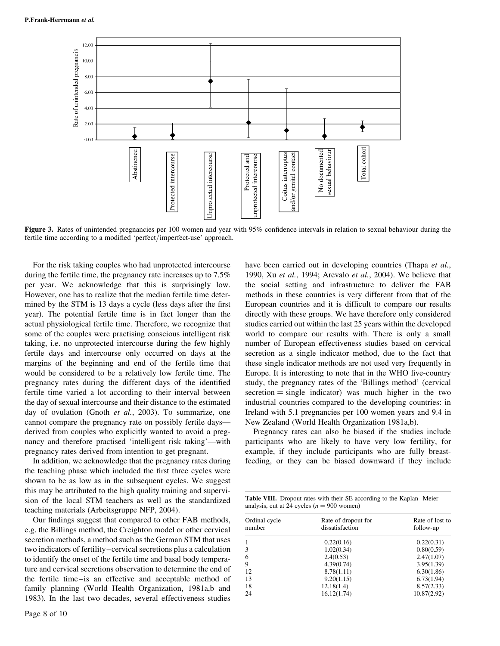

Figure 3. Rates of unintended pregnancies per 100 women and year with 95% confidence intervals in relation to sexual behaviour during the fertile time according to a modified 'perfect/imperfect-use' approach.

For the risk taking couples who had unprotected intercourse during the fertile time, the pregnancy rate increases up to 7.5% per year. We acknowledge that this is surprisingly low. However, one has to realize that the median fertile time determined by the STM is 13 days a cycle (less days after the first year). The potential fertile time is in fact longer than the actual physiological fertile time. Therefore, we recognize that some of the couples were practising conscious intelligent risk taking, i.e. no unprotected intercourse during the few highly fertile days and intercourse only occurred on days at the margins of the beginning and end of the fertile time that would be considered to be a relatively low fertile time. The pregnancy rates during the different days of the identified fertile time varied a lot according to their interval between the day of sexual intercourse and their distance to the estimated day of ovulation (Gnoth et al., 2003). To summarize, one cannot compare the pregnancy rate on possibly fertile days derived from couples who explicitly wanted to avoid a pregnancy and therefore practised 'intelligent risk taking'—with pregnancy rates derived from intention to get pregnant.

In addition, we acknowledge that the pregnancy rates during the teaching phase which included the first three cycles were shown to be as low as in the subsequent cycles. We suggest this may be attributed to the high quality training and supervision of the local STM teachers as well as the standardized teaching materials (Arbeitsgruppe NFP, 2004).

Our findings suggest that compared to other FAB methods, e.g. the Billings method, the Creighton model or other cervical secretion methods, a method such as the German STM that uses two indicators of fertility–cervical secretions plus a calculation to identify the onset of the fertile time and basal body temperature and cervical secretions observation to determine the end of the fertile time–is an effective and acceptable method of family planning (World Health Organization, 1981a,b and 1983). In the last two decades, several effectiveness studies have been carried out in developing countries (Thapa et al., 1990, Xu et al., 1994; Arevalo et al., 2004). We believe that the social setting and infrastructure to deliver the FAB methods in these countries is very different from that of the European countries and it is difficult to compare our results directly with these groups. We have therefore only considered studies carried out within the last 25 years within the developed world to compare our results with. There is only a small number of European effectiveness studies based on cervical secretion as a single indicator method, due to the fact that these single indicator methods are not used very frequently in Europe. It is interesting to note that in the WHO five-country study, the pregnancy rates of the 'Billings method' (cervical  $s$  secretion  $=$  single indicator) was much higher in the two industrial countries compared to the developing countries: in Ireland with 5.1 pregnancies per 100 women years and 9.4 in New Zealand (World Health Organization 1981a,b).

Pregnancy rates can also be biased if the studies include participants who are likely to have very low fertility, for example, if they include participants who are fully breastfeeding, or they can be biased downward if they include

| <b>Table VIII.</b> Dropout rates with their SE according to the Kaplan–Meier |
|------------------------------------------------------------------------------|
| analysis, cut at 24 cycles $(n = 900 \text{ women})$                         |

| Ordinal cycle<br>number | Rate of dropout for<br>dissatisfaction | Rate of lost to<br>follow-up |  |  |
|-------------------------|----------------------------------------|------------------------------|--|--|
|                         | 0.22(0.16)                             | 0.22(0.31)                   |  |  |
| 3                       | 1.02(0.34)                             | 0.80(0.59)                   |  |  |
| 6                       | 2.4(0.53)                              | 2.47(1.07)                   |  |  |
| 9                       | 4.39(0.74)                             | 3.95(1.39)                   |  |  |
| 12                      | 8.78(1.11)                             | 6.30(1.86)                   |  |  |
| 13                      | 9.20(1.15)                             | 6.73(1.94)                   |  |  |
| 18                      | 12.18(1.4)                             | 8.57(2.33)                   |  |  |
| 24                      | 16.12(1.74)                            | 10.87(2.92)                  |  |  |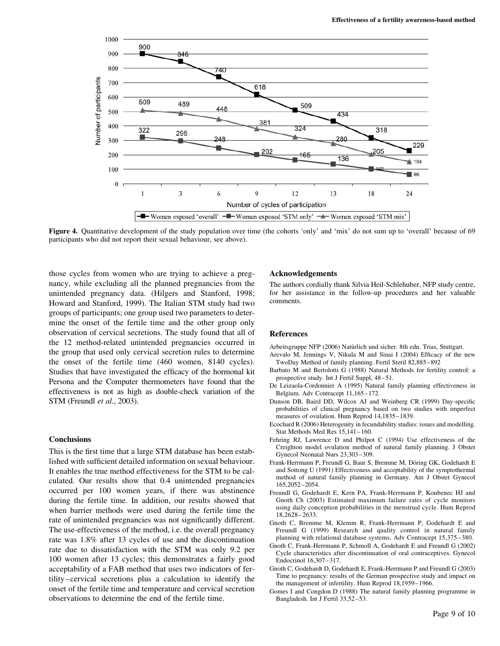

Figure 4. Quantitative development of the study population over time (the cohorts 'only' and 'mix' do not sum up to 'overall' because of 69 participants who did not report their sexual behaviour, see above).

those cycles from women who are trying to achieve a pregnancy, while excluding all the planned pregnancies from the unintended pregnancy data. (Hilgers and Stanford, 1998; Howard and Stanford, 1999). The Italian STM study had two groups of participants; one group used two parameters to determine the onset of the fertile time and the other group only observation of cervical secretions. The study found that all of the 12 method-related unintended pregnancies occurred in the group that used only cervical secretion rules to determine the onset of the fertile time (460 women, 8140 cycles). Studies that have investigated the efficacy of the hormonal kit Persona and the Computer thermometers have found that the effectiveness is not as high as double-check variation of the STM (Freundl et al., 2003).

# **Conclusions**

This is the first time that a large STM database has been established with sufficient detailed information on sexual behaviour. It enables the true method effectiveness for the STM to be calculated. Our results show that 0.4 unintended pregnancies occurred per 100 women years, if there was abstinence during the fertile time. In addition, our results showed that when barrier methods were used during the fertile time the rate of unintended pregnancies was not significantly different. The use-effectiveness of the method, i.e. the overall pregnancy rate was 1.8% after 13 cycles of use and the discontinuation rate due to dissatisfaction with the STM was only 9.2 per 100 women after 13 cycles; this demonstrates a fairly good acceptability of a FAB method that uses two indicators of fertility–cervical secretions plus a calculation to identify the onset of the fertile time and temperature and cervical secretion observations to determine the end of the fertile time.

#### Acknowledgements

The authors cordially thank Silvia Heil-Schlehuber, NFP study centre, for her assistance in the follow-up procedures and her valuable comments.

# References

Arbeitsgruppe NFP (2006) Natürlich und sicher. 8th edn. Trias, Stuttgart.

- Arevalo M, Jennings V, Nikula M and Sinai I (2004) Efficacy of the new TwoDay Method of family planning. Fertil Steril 82,885–892
- Barbato M and Bertolotti G (1988) Natural Methods for fertility control: a prospective study. Int J Fertil Suppl, 48–51.
- De Leizaola-Cordonnier A (1995) Natural family planning effectiveness in Belgium. Adv Contracept 11,165–172.
- Dunson DB, Baird DD, Wilcox AJ and Weinberg CR (1999) Day-specific probabilities of clinical pregnancy based on two studies with imperfect measures of ovulation. Hum Reprod 14,1835–1839.
- Ecochard R (2006) Heterogenity in fecundability studies: issues and modelling. Stat Methods Med Res 15,141–160.
- Fehring RJ, Lawrence D and Philpot C (1994) Use effectiveness of the Creighton model ovulation method of natural family planning. J Obstet Gynecol Neonatal Nurs 23,303–309.
- Frank-Herrmann P, Freundl G, Baur S, Bremme M, Döring GK, Godehardt E and Sottong U (1991) Effectiveness and acceptability of the symptothermal method of natural family planning in Germany. Am J Obstet Gynecol 165,2052–2054.
- Freundl G, Godehardt E, Kern PA, Frank-Herrmann P, Koubenec HJ and Gnoth Ch (2003) Estimated maximum failure rates of cycle monitors using daily conception probabilities in the menstrual cycle. Hum Reprod 18,2628–2633.
- Gnoth C, Bremme M, Klemm R, Frank-Herrmann P, Godehardt E and Freundl G (1999) Research and quality control in natural family planning with relational database systems. Adv Contracept 15,375–380.
- Gnoth C, Frank-Herrmann P, Schmoll A, Godehardt E and Freundl G (2002) Cycle characteristics after discontinuation of oral contraceptives. Gynecol Endocrinol 16,307–317.
- Gnoth C, Godehardt D, Godehardt E, Frank-Herrmann P and Freundl G (2003) Time to pregnancy: results of the German prospective study and impact on the management of infertility. Hum Reprod 18,1959–1966.
- Gomes I and Congdon D (1988) The natural family planning programme in Bangladesh. Int J Fertil 33,52–53.